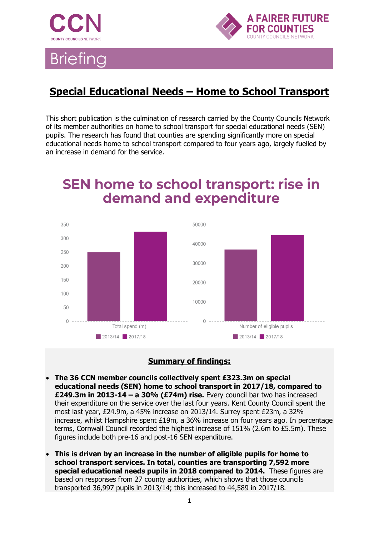



### **Special Educational Needs – Home to School Transport**

This short publication is the culmination of research carried by the County Councils Network of its member authorities on home to school transport for special educational needs (SEN) pupils. The research has found that counties are spending significantly more on special educational needs home to school transport compared to four years ago, largely fuelled by an increase in demand for the service.

### **SEN home to school transport: rise in** demand and expenditure



#### **Summary of findings:**

- **The 36 CCN member councils collectively spent £323.3m on special educational needs (SEN) home to school transport in 2017/18, compared to £249.3m in 2013-14 – a 30% (£74m) rise.** Every council bar two has increased their expenditure on the service over the last four years. Kent County Council spent the most last year, £24.9m, a 45% increase on 2013/14. Surrey spent £23m, a 32% increase, whilst Hampshire spent £19m, a 36% increase on four years ago. In percentage terms, Cornwall Council recorded the highest increase of 151% (2.6m to £5.5m). These figures include both pre-16 and post-16 SEN expenditure.
- **This is driven by an increase in the number of eligible pupils for home to school transport services. In total, counties are transporting 7,592 more special educational needs pupils in 2018 compared to 2014.** These figures are based on responses from 27 county authorities, which shows that those councils transported 36,997 pupils in 2013/14; this increased to 44,589 in 2017/18.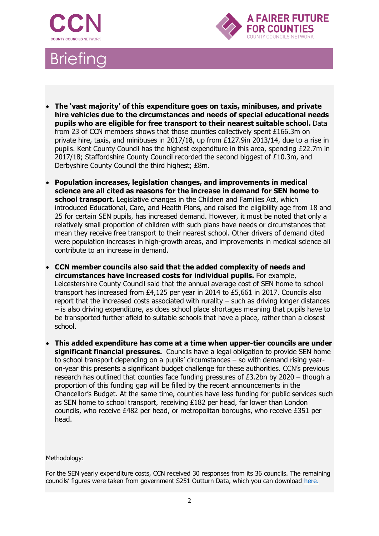



- **The 'vast majority' of this expenditure goes on taxis, minibuses, and private hire vehicles due to the circumstances and needs of special educational needs pupils who are eligible for free transport to their nearest suitable school.** Data from 23 of CCN members shows that those counties collectively spent £166.3m on private hire, taxis, and minibuses in 2017/18, up from £127.9in 2013/14, due to a rise in pupils. Kent County Council has the highest expenditure in this area, spending £22.7m in 2017/18; Staffordshire County Council recorded the second biggest of £10.3m, and Derbyshire County Council the third highest; £8m.
- **Population increases, legislation changes, and improvements in medical science are all cited as reasons for the increase in demand for SEN home to school transport.** Legislative changes in the Children and Families Act, which introduced Educational, Care, and Health Plans, and raised the eligibility age from 18 and 25 for certain SEN pupils, has increased demand. However, it must be noted that only a relatively small proportion of children with such plans have needs or circumstances that mean they receive free transport to their nearest school. Other drivers of demand cited were population increases in high-growth areas, and improvements in medical science all contribute to an increase in demand.
- **CCN member councils also said that the added complexity of needs and circumstances have increased costs for individual pupils.** For example, Leicestershire County Council said that the annual average cost of SEN home to school transport has increased from £4,125 per year in 2014 to £5,661 in 2017. Councils also report that the increased costs associated with rurality – such as driving longer distances – is also driving expenditure, as does school place shortages meaning that pupils have to be transported further afield to suitable schools that have a place, rather than a closest school.
- **This added expenditure has come at a time when upper-tier councils are under significant financial pressures.** Councils have a legal obligation to provide SEN home to school transport depending on a pupils' circumstances – so with demand rising yearon-year this presents a significant budget challenge for these authorities. CCN's previous research has outlined that counties face funding pressures of £3.2bn by 2020 – though a proportion of this funding gap will be filled by the recent announcements in the Chancellor's Budget. At the same time, counties have less funding for public services such as SEN home to school transport, receiving £182 per head, far lower than London councils, who receive £482 per head, or metropolitan boroughs, who receive £351 per head.

#### Methodology:

For the SEN yearly expenditure costs, CCN received 30 responses from its 36 councils. The remaining councils' figures were taken from government S251 Outturn Data, which you can download [here.](https://www.gov.uk/guidance/section-251-2017-to-2018)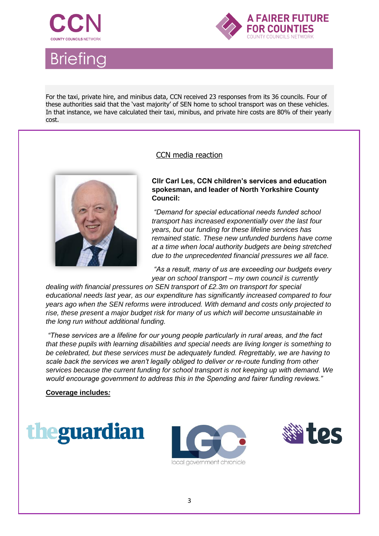



For the taxi, private hire, and minibus data, CCN received 23 responses from its 36 councils. Four of these authorities said that the 'vast majority' of SEN home to school transport was on these vehicles. In that instance, we have calculated their taxi, minibus, and private hire costs are 80% of their yearly cost.

#### CCN media reaction



**Cllr Carl Les, CCN children's services and education spokesman, and leader of North Yorkshire County Council:**

*"Demand for special educational needs funded school transport has increased exponentially over the last four years, but our funding for these lifeline services has remained static. These new unfunded burdens have come at a time when local authority budgets are being stretched due to the unprecedented financial pressures we all face.*

*"As a result, many of us are exceeding our budgets every year on school transport – my own council is currently* 

*dealing with financial pressures on SEN transport of £2.3m on transport for special educational needs last year, as our expenditure has significantly increased compared to four years ago when the SEN reforms were introduced. With demand and costs only projected to rise, these present a major budget risk for many of us which will become unsustainable in the long run without additional funding.*

*"These services are a lifeline for our young people particularly in rural areas, and the fact that these pupils with learning disabilities and special needs are living longer is something to be celebrated, but these services must be adequately funded. Regrettably, we are having to scale back the services we aren't legally obliged to deliver or re-route funding from other services because the current funding for school transport is not keeping up with demand. We would encourage government to address this in the Spending and fairer funding reviews."*

**Coverage includes***:*





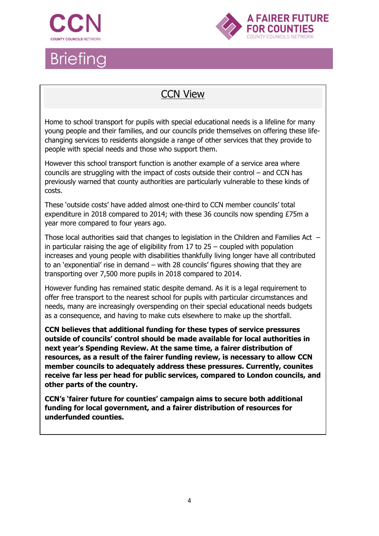



### CCN View

Home to school transport for pupils with special educational needs is a lifeline for many young people and their families, and our councils pride themselves on offering these lifechanging services to residents alongside a range of other services that they provide to people with special needs and those who support them.

However this school transport function is another example of a service area where councils are struggling with the impact of costs outside their control – and CCN has previously warned that county authorities are particularly vulnerable to these kinds of costs.

These 'outside costs' have added almost one-third to CCN member councils' total expenditure in 2018 compared to 2014; with these 36 councils now spending £75m a year more compared to four years ago.

Those local authorities said that changes to legislation in the Children and Families Act – in particular raising the age of eligibility from 17 to 25 – coupled with population increases and young people with disabilities thankfully living longer have all contributed to an 'exponential' rise in demand – with 28 councils' figures showing that they are transporting over 7,500 more pupils in 2018 compared to 2014.

However funding has remained static despite demand. As it is a legal requirement to offer free transport to the nearest school for pupils with particular circumstances and needs, many are increasingly overspending on their special educational needs budgets as a consequence, and having to make cuts elsewhere to make up the shortfall.

**CCN believes that additional funding for these types of service pressures outside of councils' control should be made available for local authorities in next year's Spending Review. At the same time, a fairer distribution of resources, as a result of the fairer funding review, is necessary to allow CCN member councils to adequately address these pressures. Currently, counites receive far less per head for public services, compared to London councils, and other parts of the country.**

**CCN's 'fairer future for counties' campaign aims to secure both additional funding for local government, and a fairer distribution of resources for underfunded counties.**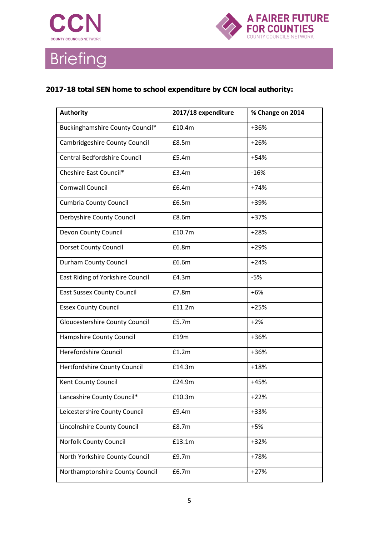



#### **2017-18 total SEN home to school expenditure by CCN local authority:**

| <b>Authority</b>                      | 2017/18 expenditure | % Change on 2014 |
|---------------------------------------|---------------------|------------------|
| Buckinghamshire County Council*       | £10.4m              | +36%             |
| Cambridgeshire County Council         | £8.5m               | $+26%$           |
| <b>Central Bedfordshire Council</b>   | £5.4m               | $+54%$           |
| Cheshire East Council*                | £3.4m               | $-16%$           |
| <b>Cornwall Council</b>               | £6.4m               | $+74%$           |
| <b>Cumbria County Council</b>         | £6.5m               | +39%             |
| Derbyshire County Council             | £8.6m               | +37%             |
| Devon County Council                  | £10.7m              | $+28%$           |
| <b>Dorset County Council</b>          | £6.8m               | $+29%$           |
| <b>Durham County Council</b>          | £6.6m               | $+24%$           |
| East Riding of Yorkshire Council      | £4.3m               | $-5%$            |
| <b>East Sussex County Council</b>     | £7.8m               | $+6%$            |
| <b>Essex County Council</b>           | £11.2m              | $+25%$           |
| <b>Gloucestershire County Council</b> | £5.7m               | $+2%$            |
| Hampshire County Council              | £19m                | +36%             |
| Herefordshire Council                 | £1.2m               | +36%             |
| Hertfordshire County Council          | £14.3m              | $+18%$           |
| Kent County Council                   | £24.9m              | $+45%$           |
| Lancashire County Council*            | £10.3m              | $+22%$           |
| Leicestershire County Council         | £9.4m               | +33%             |
| Lincolnshire County Council           | £8.7m               | $+5%$            |
| Norfolk County Council                | £13.1m              | $+32%$           |
| North Yorkshire County Council        | £9.7m               | +78%             |
| Northamptonshire County Council       | £6.7m               | $+27%$           |